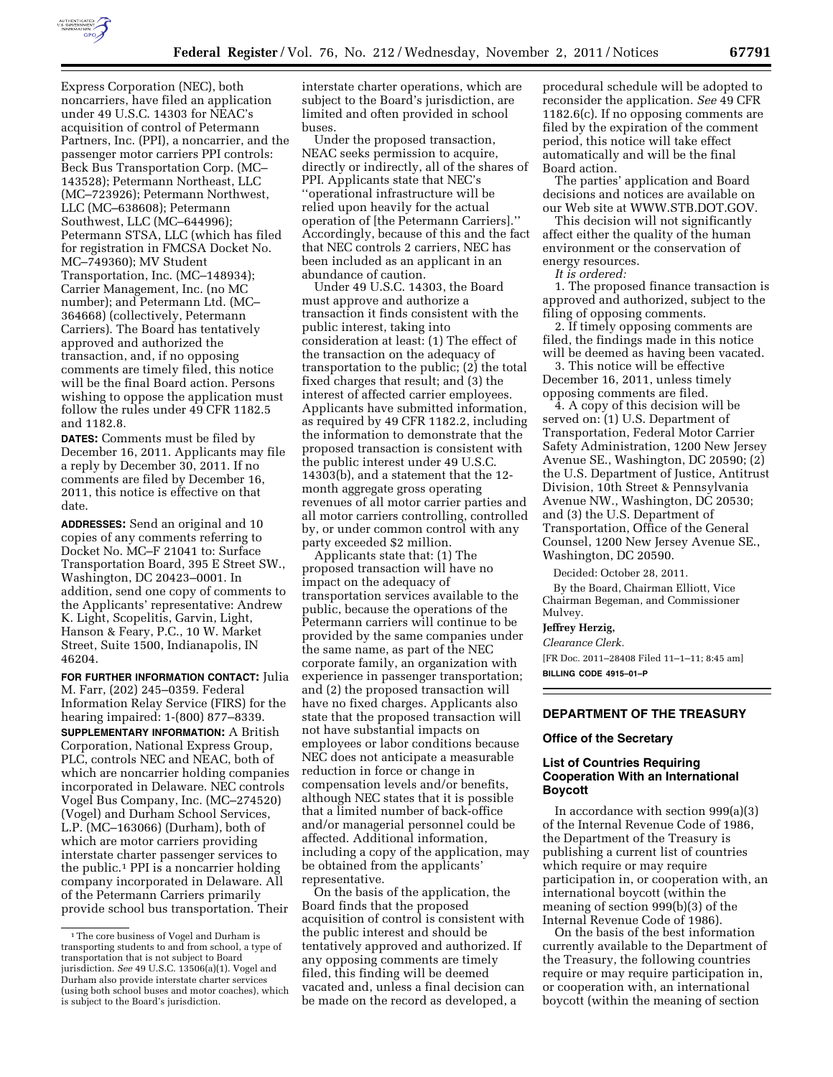

Express Corporation (NEC), both noncarriers, have filed an application under 49 U.S.C. 14303 for NEAC's acquisition of control of Petermann Partners, Inc. (PPI), a noncarrier, and the passenger motor carriers PPI controls: Beck Bus Transportation Corp. (MC– 143528); Petermann Northeast, LLC (MC–723926); Petermann Northwest, LLC (MC–638608); Petermann Southwest, LLC (MC–644996); Petermann STSA, LLC (which has filed for registration in FMCSA Docket No. MC–749360); MV Student Transportation, Inc. (MC–148934); Carrier Management, Inc. (no MC number); and Petermann Ltd. (MC– 364668) (collectively, Petermann Carriers). The Board has tentatively approved and authorized the transaction, and, if no opposing comments are timely filed, this notice will be the final Board action. Persons wishing to oppose the application must follow the rules under 49 CFR 1182.5 and 1182.8.

**DATES:** Comments must be filed by December 16, 2011. Applicants may file a reply by December 30, 2011. If no comments are filed by December 16, 2011, this notice is effective on that date.

**ADDRESSES:** Send an original and 10 copies of any comments referring to Docket No. MC–F 21041 to: Surface Transportation Board, 395 E Street SW., Washington, DC 20423–0001. In addition, send one copy of comments to the Applicants' representative: Andrew K. Light, Scopelitis, Garvin, Light, Hanson & Feary, P.C., 10 W. Market Street, Suite 1500, Indianapolis, IN 46204.

**FOR FURTHER INFORMATION CONTACT:** Julia M. Farr, (202) 245–0359. Federal Information Relay Service (FIRS) for the hearing impaired: 1-(800) 877–8339. **SUPPLEMENTARY INFORMATION:** A British Corporation, National Express Group, PLC, controls NEC and NEAC, both of which are noncarrier holding companies incorporated in Delaware. NEC controls Vogel Bus Company, Inc. (MC–274520) (Vogel) and Durham School Services, L.P. (MC–163066) (Durham), both of which are motor carriers providing interstate charter passenger services to the public.1 PPI is a noncarrier holding company incorporated in Delaware. All of the Petermann Carriers primarily provide school bus transportation. Their interstate charter operations, which are subject to the Board's jurisdiction, are limited and often provided in school buses.

Under the proposed transaction, NEAC seeks permission to acquire, directly or indirectly, all of the shares of PPI. Applicants state that NEC's ''operational infrastructure will be relied upon heavily for the actual operation of [the Petermann Carriers].'' Accordingly, because of this and the fact that NEC controls 2 carriers, NEC has been included as an applicant in an abundance of caution.

Under 49 U.S.C. 14303, the Board must approve and authorize a transaction it finds consistent with the public interest, taking into consideration at least: (1) The effect of the transaction on the adequacy of transportation to the public; (2) the total fixed charges that result; and (3) the interest of affected carrier employees. Applicants have submitted information, as required by 49 CFR 1182.2, including the information to demonstrate that the proposed transaction is consistent with the public interest under 49 U.S.C. 14303(b), and a statement that the 12 month aggregate gross operating revenues of all motor carrier parties and all motor carriers controlling, controlled by, or under common control with any party exceeded \$2 million.

Applicants state that: (1) The proposed transaction will have no impact on the adequacy of transportation services available to the public, because the operations of the Petermann carriers will continue to be provided by the same companies under the same name, as part of the NEC corporate family, an organization with experience in passenger transportation; and (2) the proposed transaction will have no fixed charges. Applicants also state that the proposed transaction will not have substantial impacts on employees or labor conditions because NEC does not anticipate a measurable reduction in force or change in compensation levels and/or benefits, although NEC states that it is possible that a limited number of back-office and/or managerial personnel could be affected. Additional information, including a copy of the application, may be obtained from the applicants' representative.

On the basis of the application, the Board finds that the proposed acquisition of control is consistent with the public interest and should be tentatively approved and authorized. If any opposing comments are timely filed, this finding will be deemed vacated and, unless a final decision can be made on the record as developed, a

procedural schedule will be adopted to reconsider the application. *See* 49 CFR 1182.6(c). If no opposing comments are filed by the expiration of the comment period, this notice will take effect automatically and will be the final Board action.

The parties' application and Board decisions and notices are available on our Web site at WWW.STB.DOT.GOV.

This decision will not significantly affect either the quality of the human environment or the conservation of energy resources.

*It is ordered:* 

1. The proposed finance transaction is approved and authorized, subject to the filing of opposing comments.

2. If timely opposing comments are filed, the findings made in this notice will be deemed as having been vacated.

3. This notice will be effective December 16, 2011, unless timely opposing comments are filed.

4. A copy of this decision will be served on: (1) U.S. Department of Transportation, Federal Motor Carrier Safety Administration, 1200 New Jersey Avenue SE., Washington, DC 20590; (2) the U.S. Department of Justice, Antitrust Division, 10th Street & Pennsylvania Avenue NW., Washington, DC 20530; and (3) the U.S. Department of Transportation, Office of the General Counsel, 1200 New Jersey Avenue SE., Washington, DC 20590.

Decided: October 28, 2011.

By the Board, Chairman Elliott, Vice Chairman Begeman, and Commissioner Mulvey.

# **Jeffrey Herzig,**

*Clearance Clerk.* 

[FR Doc. 2011–28408 Filed 11–1–11; 8:45 am] **BILLING CODE 4915–01–P** 

#### **DEPARTMENT OF THE TREASURY**

#### **Office of the Secretary**

### **List of Countries Requiring Cooperation With an International Boycott**

In accordance with section 999(a)(3) of the Internal Revenue Code of 1986, the Department of the Treasury is publishing a current list of countries which require or may require participation in, or cooperation with, an international boycott (within the meaning of section 999(b)(3) of the Internal Revenue Code of 1986).

On the basis of the best information currently available to the Department of the Treasury, the following countries require or may require participation in, or cooperation with, an international boycott (within the meaning of section

<sup>1</sup>The core business of Vogel and Durham is transporting students to and from school, a type of transportation that is not subject to Board jurisdiction. *See* 49 U.S.C. 13506(a)(1). Vogel and Durham also provide interstate charter services (using both school buses and motor coaches), which is subject to the Board's jurisdiction.